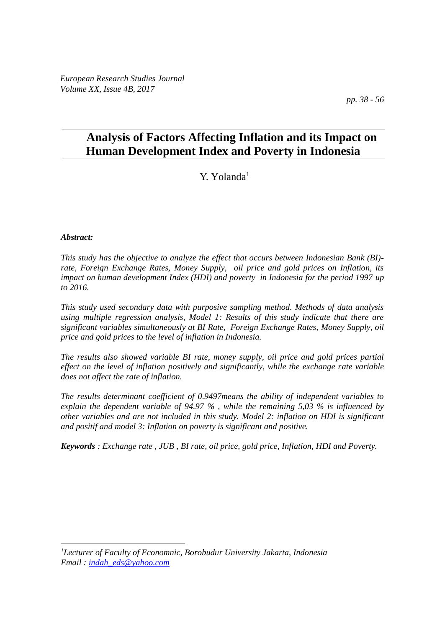# **Analysis of Factors Affecting Inflation and its Impact on Human Development Index and Poverty in Indonesia**

# Y. Yolanda<sup>1</sup>

### *Abstract:*

 $\overline{a}$ 

*This study has the objective to analyze the effect that occurs between Indonesian Bank (BI) rate, Foreign Exchange Rates, Money Supply, oil price and gold prices on Inflation, its impact on human development Index (HDI) and poverty in Indonesia for the period 1997 up to 2016.*

*This study used secondary data with purposive sampling method. Methods of data analysis using multiple regression analysis, Model 1: Results of this study indicate that there are significant variables simultaneously at BI Rate, Foreign Exchange Rates, Money Supply, oil price and gold prices to the level of inflation in Indonesia.* 

*The results also showed variable BI rate, money supply, oil price and gold prices partial effect on the level of inflation positively and significantly, while the exchange rate variable does not affect the rate of inflation.* 

*The results determinant coefficient of 0.9497means the ability of independent variables to explain the dependent variable of 94.97 % , while the remaining 5,03 % is influenced by other variables and are not included in this study. Model 2: inflation on HDI is significant and positif and model 3: Inflation on poverty is significant and positive.*

*Keywords : Exchange rate , JUB , BI rate, oil price, gold price, Inflation, HDI and Poverty.*

*<sup>1</sup>Lecturer of Faculty of Economnic, Borobudur University Jakarta, Indonesia Email : [indah\\_eds@yahoo.com](mailto:indah_eds@yahoo.com)*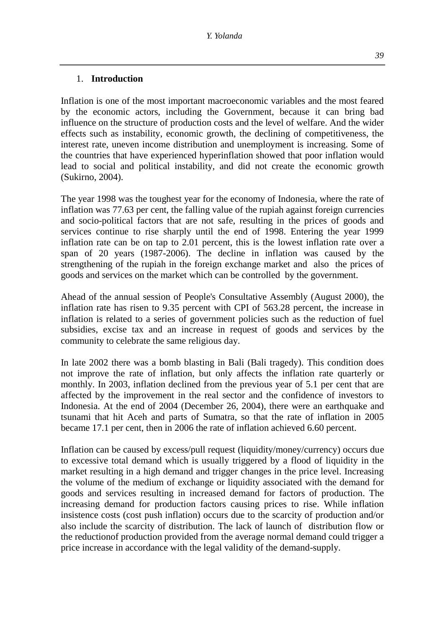Inflation is one of the most important macroeconomic variables and the most feared by the economic actors, including the Government, because it can bring bad influence on the structure of production costs and the level of welfare. And the wider effects such as instability, economic growth, the declining of competitiveness, the interest rate, uneven income distribution and unemployment is increasing. Some of the countries that have experienced hyperinflation showed that poor inflation would lead to social and political instability, and did not create the economic growth (Sukirno, 2004).

The year 1998 was the toughest year for the economy of Indonesia, where the rate of inflation was 77.63 per cent, the falling value of the rupiah against foreign currencies and socio-political factors that are not safe, resulting in the prices of goods and services continue to rise sharply until the end of 1998. Entering the year 1999 inflation rate can be on tap to 2.01 percent, this is the lowest inflation rate over a span of 20 years (1987-2006). The decline in inflation was caused by the strengthening of the rupiah in the foreign exchange market and also the prices of goods and services on the market which can be controlled by the government.

Ahead of the annual session of People's Consultative Assembly (August 2000), the inflation rate has risen to 9.35 percent with CPI of 563.28 percent, the increase in inflation is related to a series of government policies such as the reduction of fuel subsidies, excise tax and an increase in request of goods and services by the community to celebrate the same religious day.

In late 2002 there was a bomb blasting in Bali (Bali tragedy). This condition does not improve the rate of inflation, but only affects the inflation rate quarterly or monthly. In 2003, inflation declined from the previous year of 5.1 per cent that are affected by the improvement in the real sector and the confidence of investors to Indonesia. At the end of 2004 (December 26, 2004), there were an earthquake and tsunami that hit Aceh and parts of Sumatra, so that the rate of inflation in 2005 became 17.1 per cent, then in 2006 the rate of inflation achieved 6.60 percent.

Inflation can be caused by excess/pull request (liquidity/money/currency) occurs due to excessive total demand which is usually triggered by a flood of liquidity in the market resulting in a high demand and trigger changes in the price level. Increasing the volume of the medium of exchange or liquidity associated with the demand for goods and services resulting in increased demand for factors of production. The increasing demand for production factors causing prices to rise. While inflation insistence costs (cost push inflation) occurs due to the scarcity of production and/or also include the scarcity of distribution. The lack of launch of distribution flow or the reductionof production provided from the average normal demand could trigger a price increase in accordance with the legal validity of the demand-supply.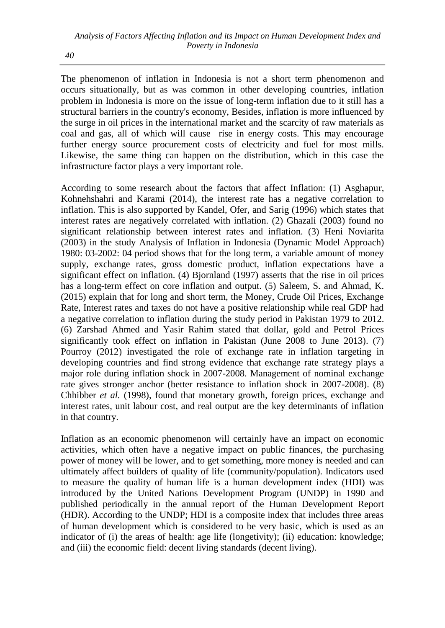The phenomenon of inflation in Indonesia is not a short term phenomenon and occurs situationally, but as was common in other developing countries, inflation problem in Indonesia is more on the issue of long-term inflation due to it still has a structural barriers in the country's economy, Besides, inflation is more influenced by the surge in oil prices in the international market and the scarcity of raw materials as coal and gas, all of which will cause rise in energy costs. This may encourage further energy source procurement costs of electricity and fuel for most mills. Likewise, the same thing can happen on the distribution, which in this case the infrastructure factor plays a very important role.

According to some research about the factors that affect Inflation: (1) Asghapur, Kohnehshahri and Karami (2014), the interest rate has a negative correlation to inflation. This is also supported by Kandel, Ofer, and Sarig (1996) which states that interest rates are negatively correlated with inflation. (2) Ghazali (2003) found no significant relationship between interest rates and inflation. (3) Heni Noviarita (2003) in the study Analysis of Inflation in Indonesia (Dynamic Model Approach) 1980: 03-2002: 04 period shows that for the long term, a variable amount of money supply, exchange rates, gross domestic product, inflation expectations have a significant effect on inflation. (4) Bjornland (1997) asserts that the rise in oil prices has a long-term effect on core inflation and output. (5) Saleem, S. and Ahmad, K. (2015) explain that for long and short term, the Money, Crude Oil Prices, Exchange Rate, Interest rates and taxes do not have a positive relationship while real GDP had a negative correlation to inflation during the study period in Pakistan 1979 to 2012. (6) Zarshad Ahmed and Yasir Rahim stated that dollar, gold and Petrol Prices significantly took effect on inflation in Pakistan (June 2008 to June 2013). (7) Pourroy (2012) investigated the role of exchange rate in inflation targeting in developing countries and find strong evidence that exchange rate strategy plays a major role during inflation shock in 2007-2008. Management of nominal exchange rate gives stronger anchor (better resistance to inflation shock in 2007-2008). (8) Chhibber *et al.* (1998), found that monetary growth, foreign prices, exchange and interest rates, unit labour cost, and real output are the key determinants of inflation in that country.

Inflation as an economic phenomenon will certainly have an impact on economic activities, which often have a negative impact on public finances, the purchasing power of money will be lower, and to get something, more money is needed and can ultimately affect builders of quality of life (community/population). Indicators used to measure the quality of human life is a human development index (HDI) was introduced by the United Nations Development Program (UNDP) in 1990 and published periodically in the annual report of the Human Development Report (HDR). According to the UNDP; HDI is a composite index that includes three areas of human development which is considered to be very basic, which is used as an indicator of (i) the areas of health: age life (longetivity); (ii) education: knowledge; and (iii) the economic field: decent living standards (decent living).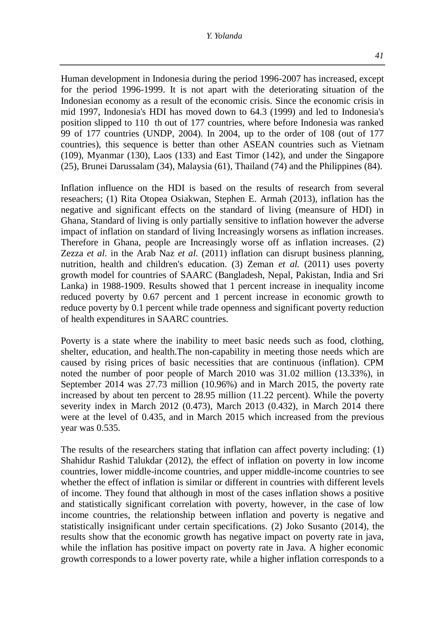#### *Y. Yolanda*

Human development in Indonesia during the period 1996-2007 has increased, except for the period 1996-1999. It is not apart with the deteriorating situation of the Indonesian economy as a result of the economic crisis. Since the economic crisis in mid 1997, Indonesia's HDI has moved down to 64.3 (1999) and led to Indonesia's position slipped to 110 th out of 177 countries, where before Indonesia was ranked 99 of 177 countries (UNDP, 2004). In 2004, up to the order of 108 (out of 177 countries), this sequence is better than other ASEAN countries such as Vietnam (109), Myanmar (130), Laos (133) and East Timor (142), and under the Singapore (25), Brunei Darussalam (34), Malaysia (61), Thailand (74) and the Philippines (84).

Inflation influence on the HDI is based on the results of research from several reseachers; (1) Rita Otopea Osiakwan, Stephen E. Armah (2013), inflation has the negative and significant effects on the standard of living (meansure of HDI) in Ghana, Standard of living is only partially sensitive to inflation however the adverse impact of inflation on standard of living Increasingly worsens as inflation increases. Therefore in Ghana, people are Increasingly worse off as inflation increases. (2) Zezza *et al.* in the Arab Naz *et al.* (2011) inflation can disrupt business planning, nutrition, health and children's education. (3) Zeman *et al.* (2011) uses poverty growth model for countries of SAARC (Bangladesh, Nepal, Pakistan, India and Sri Lanka) in 1988-1909. Results showed that 1 percent increase in inequality income reduced poverty by 0.67 percent and 1 percent increase in economic growth to reduce poverty by 0.1 percent while trade openness and significant poverty reduction of health expenditures in SAARC countries.

Poverty is a state where the inability to meet basic needs such as food, clothing, shelter, education, and health.The non-capability in meeting those needs which are caused by rising prices of basic necessities that are continuous (inflation). CPM noted the number of poor people of March 2010 was 31.02 million (13.33%), in September 2014 was 27.73 million (10.96%) and in March 2015, the poverty rate increased by about ten percent to 28.95 million (11.22 percent). While the poverty severity index in March 2012 (0.473), March 2013 (0.432), in March 2014 there were at the level of 0.435, and in March 2015 which increased from the previous year was 0.535.

The results of the researchers stating that inflation can affect poverty including: (1) Shahidur Rashid Talukdar (2012), the effect of inflation on poverty in low income countries, lower middle-income countries, and upper middle-income countries to see whether the effect of inflation is similar or different in countries with different levels of income. They found that although in most of the cases inflation shows a positive and statistically significant correlation with poverty, however, in the case of low income countries, the relationship between inflation and poverty is negative and statistically insignificant under certain specifications*.* (2) Joko Susanto (2014), the results show that the economic growth has negative impact on poverty rate in java, while the inflation has positive impact on poverty rate in Java. A higher economic growth corresponds to a lower poverty rate, while a higher inflation corresponds to a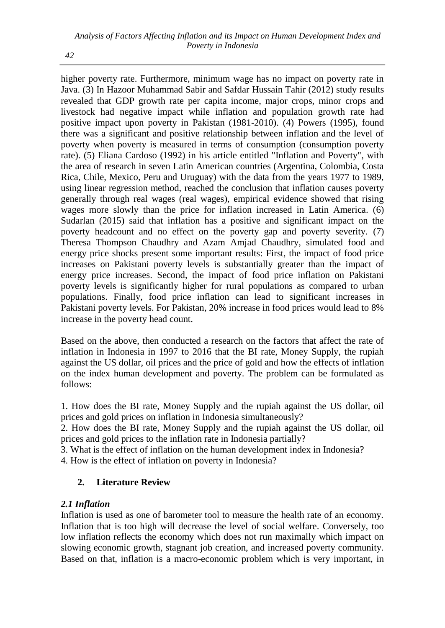higher poverty rate. Furthermore, minimum wage has no impact on poverty rate in Java. (3) In Hazoor Muhammad Sabir and Safdar Hussain Tahir (2012) study results revealed that GDP growth rate per capita income, major crops, minor crops and livestock had negative impact while inflation and population growth rate had positive impact upon poverty in Pakistan (1981-2010). (4) Powers (1995), found there was a significant and positive relationship between inflation and the level of poverty when poverty is measured in terms of consumption (consumption poverty rate). (5) Eliana Cardoso (1992) in his article entitled "Inflation and Poverty", with the area of research in seven Latin American countries (Argentina, Colombia, Costa Rica, Chile, Mexico, Peru and Uruguay) with the data from the years 1977 to 1989, using linear regression method, reached the conclusion that inflation causes poverty generally through real wages (real wages), empirical evidence showed that rising wages more slowly than the price for inflation increased in Latin America. (6) Sudarlan (2015) said that inflation has a positive and significant impact on the poverty headcount and no effect on the poverty gap and poverty severity. (7) Theresa Thompson Chaudhry and Azam Amjad Chaudhry, simulated food and energy price shocks present some important results: First, the impact of food price increases on Pakistani poverty levels is substantially greater than the impact of energy price increases. Second, the impact of food price inflation on Pakistani poverty levels is significantly higher for rural populations as compared to urban populations. Finally, food price inflation can lead to significant increases in Pakistani poverty levels. For Pakistan, 20% increase in food prices would lead to 8% increase in the poverty head count.

Based on the above, then conducted a research on the factors that affect the rate of inflation in Indonesia in 1997 to 2016 that the BI rate, Money Supply, the rupiah against the US dollar, oil prices and the price of gold and how the effects of inflation on the index human development and poverty. The problem can be formulated as follows:

1. How does the BI rate, Money Supply and the rupiah against the US dollar, oil prices and gold prices on inflation in Indonesia simultaneously?

2. How does the BI rate, Money Supply and the rupiah against the US dollar, oil prices and gold prices to the inflation rate in Indonesia partially?

3. What is the effect of inflation on the human development index in Indonesia?

4. How is the effect of inflation on poverty in Indonesia?

# **2. Literature Review**

# *2.1 Inflation*

Inflation is used as one of barometer tool to measure the health rate of an economy. Inflation that is too high will decrease the level of social welfare. Conversely, too low inflation reflects the economy which does not run maximally which impact on slowing economic growth, stagnant job creation, and increased poverty community. Based on that, inflation is a macro-economic problem which is very important, in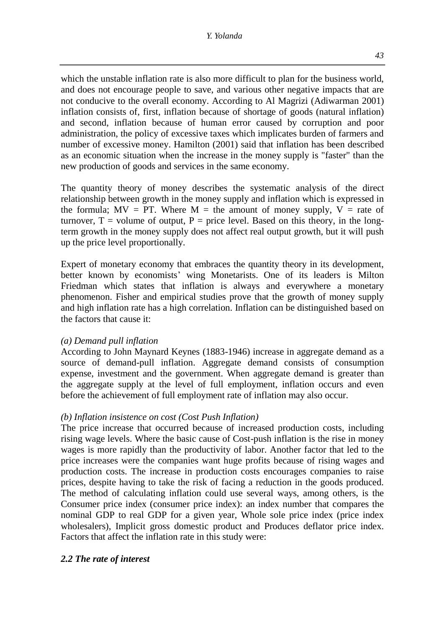*43*

which the unstable inflation rate is also more difficult to plan for the business world, and does not encourage people to save, and various other negative impacts that are not conducive to the overall economy. According to Al Magrizi (Adiwarman 2001) inflation consists of, first, inflation because of shortage of goods (natural inflation) and second, inflation because of human error caused by corruption and poor administration, the policy of excessive taxes which implicates burden of farmers and number of excessive money. Hamilton (2001) said that inflation has been described as an economic situation when the increase in the money supply is "faster" than the new production of goods and services in the same economy.

The quantity theory of money describes the systematic analysis of the direct relationship between growth in the money supply and inflation which is expressed in the formula;  $MV = PT$ . Where  $M =$  the amount of money supply,  $V =$  rate of turnover,  $T =$  volume of output,  $P =$  price level. Based on this theory, in the longterm growth in the money supply does not affect real output growth, but it will push up the price level proportionally.

Expert of monetary economy that embraces the quantity theory in its development, better known by economists' wing Monetarists. One of its leaders is Milton Friedman which states that inflation is always and everywhere a monetary phenomenon. Fisher and empirical studies prove that the growth of money supply and high inflation rate has a high correlation. Inflation can be distinguished based on the factors that cause it:

# *(a) Demand pull inflation*

According to John Maynard Keynes (1883-1946) increase in aggregate demand as a source of demand-pull inflation. Aggregate demand consists of consumption expense, investment and the government. When aggregate demand is greater than the aggregate supply at the level of full employment, inflation occurs and even before the achievement of full employment rate of inflation may also occur.

### *(b) Inflation insistence on cost (Cost Push Inflation)*

The price increase that occurred because of increased production costs, including rising wage levels. Where the basic cause of Cost-push inflation is the rise in money wages is more rapidly than the productivity of labor. Another factor that led to the price increases were the companies want huge profits because of rising wages and production costs. The increase in production costs encourages companies to raise prices, despite having to take the risk of facing a reduction in the goods produced. The method of calculating inflation could use several ways, among others, is the Consumer price index (consumer price index): an index number that compares the nominal GDP to real GDP for a given year, Whole sole price index (price index wholesalers), Implicit gross domestic product and Produces deflator price index. Factors that affect the inflation rate in this study were:

# *2.2 The rate of interest*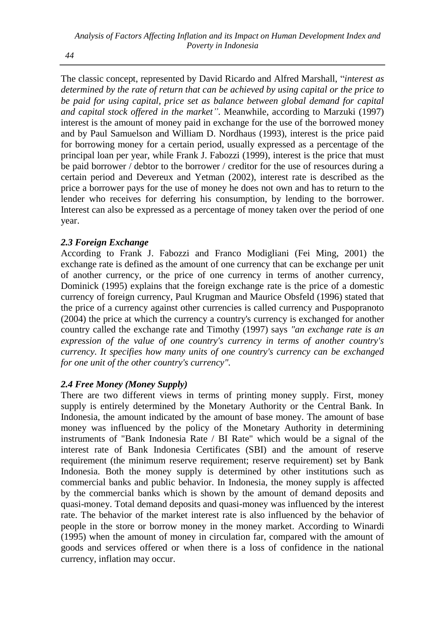The classic concept, represented by David Ricardo and Alfred Marshall, "*interest as determined by the rate of return that can be achieved by using capital or the price to*  be paid for using capital, price set as balance between global demand for capital *and capital stock offered in the market"*. Meanwhile, according to Marzuki (1997) interest is the amount of money paid in exchange for the use of the borrowed money and by Paul Samuelson and William D. Nordhaus (1993), interest is the price paid for borrowing money for a certain period, usually expressed as a percentage of the principal loan per year, while Frank J. Fabozzi (1999), interest is the price that must be paid borrower / debtor to the borrower / creditor for the use of resources during a certain period and Devereux and Yetman (2002), interest rate is described as the price a borrower pays for the use of money he does not own and has to return to the lender who receives for deferring his consumption, by lending to the borrower. Interest can also be expressed as a percentage of money taken over the period of one year.

# *2.3 Foreign Exchange*

According to Frank J. Fabozzi and Franco Modigliani (Fei Ming, 2001) the exchange rate is defined as the amount of one currency that can be exchange per unit of another currency, or the price of one currency in terms of another currency, Dominick (1995) explains that the foreign exchange rate is the price of a domestic currency of foreign currency, Paul Krugman and Maurice Obsfeld (1996) stated that the price of a currency against other currencies is called currency and Puspopranoto (2004) the price at which the currency a country's currency is exchanged for another country called the exchange rate and Timothy (1997) says *"an exchange rate is an expression of the value of one country's currency in terms of another country's currency. It specifies how many units of one country's currency can be exchanged for one unit of the other country's currency".*

# *2.4 Free Money (Money Supply)*

There are two different views in terms of printing money supply. First, money supply is entirely determined by the Monetary Authority or the Central Bank. In Indonesia, the amount indicated by the amount of base money. The amount of base money was influenced by the policy of the Monetary Authority in determining instruments of "Bank Indonesia Rate / BI Rate" which would be a signal of the interest rate of Bank Indonesia Certificates (SBI) and the amount of reserve requirement (the minimum reserve requirement; reserve requirement) set by Bank Indonesia. Both the money supply is determined by other institutions such as commercial banks and public behavior. In Indonesia, the money supply is affected by the commercial banks which is shown by the amount of demand deposits and quasi-money. Total demand deposits and quasi-money was influenced by the interest rate. The behavior of the market interest rate is also influenced by the behavior of people in the store or borrow money in the money market. According to Winardi (1995) when the amount of money in circulation far, compared with the amount of goods and services offered or when there is a loss of confidence in the national currency, inflation may occur.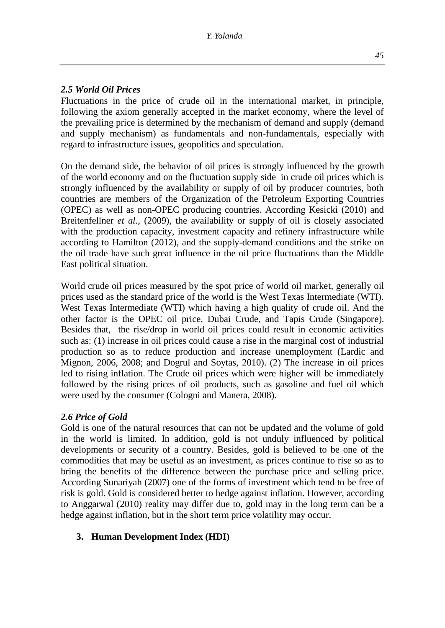### *2.5 World Oil Prices*

Fluctuations in the price of crude oil in the international market, in principle, following the axiom generally accepted in the market economy, where the level of the prevailing price is determined by the mechanism of demand and supply (demand and supply mechanism) as fundamentals and non-fundamentals, especially with regard to infrastructure issues, geopolitics and speculation.

On the demand side, the behavior of oil prices is strongly influenced by the growth of the world economy and on the fluctuation supply side in crude oil prices which is strongly influenced by the availability or supply of oil by producer countries, both countries are members of the Organization of the Petroleum Exporting Countries (OPEC) as well as non-OPEC producing countries. According Kesicki (2010) and Breitenfellner *et al.,* (2009), the availability or supply of oil is closely associated with the production capacity, investment capacity and refinery infrastructure while according to Hamilton (2012), and the supply-demand conditions and the strike on the oil trade have such great influence in the oil price fluctuations than the Middle East political situation.

World crude oil prices measured by the spot price of world oil market, generally oil prices used as the standard price of the world is the West Texas Intermediate (WTI). West Texas Intermediate (WTI) which having a high quality of crude oil. And the other factor is the OPEC oil price, Dubai Crude, and Tapis Crude (Singapore). Besides that, the rise/drop in world oil prices could result in economic activities such as: (1) increase in oil prices could cause a rise in the marginal cost of industrial production so as to reduce production and increase unemployment (Lardic and Mignon, 2006, 2008; and Dogrul and Soytas, 2010). (2) The increase in oil prices led to rising inflation. The Crude oil prices which were higher will be immediately followed by the rising prices of oil products, such as gasoline and fuel oil which were used by the consumer (Cologni and Manera, 2008).

### *2.6 Price of Gold*

Gold is one of the natural resources that can not be updated and the volume of gold in the world is limited. In addition, gold is not unduly influenced by political developments or security of a country. Besides, gold is believed to be one of the commodities that may be useful as an investment, as prices continue to rise so as to bring the benefits of the difference between the purchase price and selling price. According Sunariyah (2007) one of the forms of investment which tend to be free of risk is gold. Gold is considered better to hedge against inflation. However, according to Anggarwal (2010) reality may differ due to, gold may in the long term can be a hedge against inflation, but in the short term price volatility may occur.

# **3. Human Development Index (HDI)**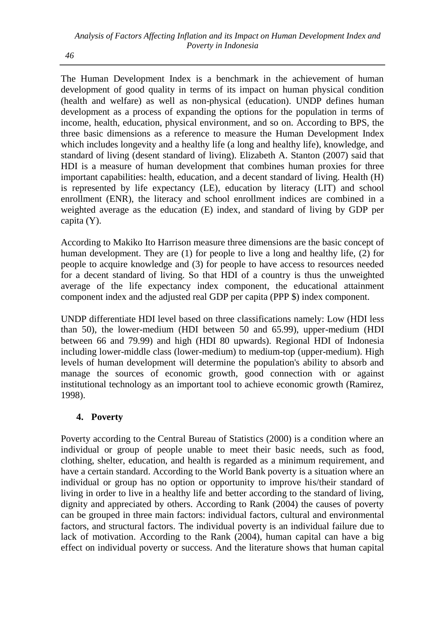The Human Development Index is a benchmark in the achievement of human development of good quality in terms of its impact on human physical condition (health and welfare) as well as non-physical (education). UNDP defines human development as a process of expanding the options for the population in terms of income, health, education, physical environment, and so on. According to BPS, the three basic dimensions as a reference to measure the Human Development Index which includes longevity and a healthy life (a long and healthy life), knowledge, and standard of living (desent standard of living). Elizabeth A. Stanton (2007) said that HDI is a measure of human development that combines human proxies for three important capabilities: health, education, and a decent standard of living. Health (H) is represented by life expectancy (LE), education by literacy (LIT) and school enrollment (ENR), the literacy and school enrollment indices are combined in a weighted average as the education (E) index, and standard of living by GDP per capita (Y).

According to Makiko Ito Harrison measure three dimensions are the basic concept of human development. They are (1) for people to live a long and healthy life, (2) for people to acquire knowledge and (3) for people to have access to resources needed for a decent standard of living. So that HDI of a country is thus the unweighted average of the life expectancy index component, the educational attainment component index and the adjusted real GDP per capita (PPP \$) index component.

UNDP differentiate HDI level based on three classifications namely: Low (HDI less than 50), the lower-medium (HDI between 50 and 65.99), upper-medium (HDI between 66 and 79.99) and high (HDI 80 upwards). Regional HDI of Indonesia including lower-middle class (lower-medium) to medium-top (upper-medium). High levels of human development will determine the population's ability to absorb and manage the sources of economic growth, good connection with or against institutional technology as an important tool to achieve economic growth (Ramirez, 1998).

# **4. Poverty**

Poverty according to the Central Bureau of Statistics (2000) is a condition where an individual or group of people unable to meet their basic needs, such as food, clothing, shelter, education, and health is regarded as a minimum requirement, and have a certain standard. According to the World Bank poverty is a situation where an individual or group has no option or opportunity to improve his/their standard of living in order to live in a healthy life and better according to the standard of living, dignity and appreciated by others. According to Rank (2004) the causes of poverty can be grouped in three main factors: individual factors, cultural and environmental factors, and structural factors. The individual poverty is an individual failure due to lack of motivation. According to the Rank (2004), human capital can have a big effect on individual poverty or success. And the literature shows that human capital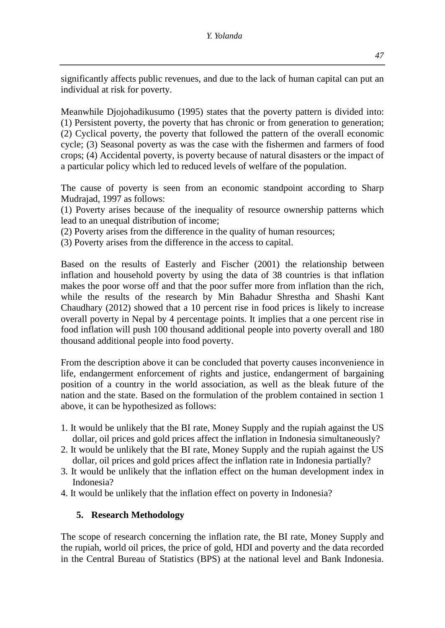significantly affects public revenues, and due to the lack of human capital can put an individual at risk for poverty.

Meanwhile Djojohadikusumo (1995) states that the poverty pattern is divided into: (1) Persistent poverty, the poverty that has chronic or from generation to generation; (2) Cyclical poverty, the poverty that followed the pattern of the overall economic cycle; (3) Seasonal poverty as was the case with the fishermen and farmers of food crops; (4) Accidental poverty, is poverty because of natural disasters or the impact of a particular policy which led to reduced levels of welfare of the population.

The cause of poverty is seen from an economic standpoint according to Sharp Mudrajad, 1997 as follows:

(1) Poverty arises because of the inequality of resource ownership patterns which lead to an unequal distribution of income;

- (2) Poverty arises from the difference in the quality of human resources;
- (3) Poverty arises from the difference in the access to capital.

Based on the results of Easterly and Fischer (2001) the relationship between inflation and household poverty by using the data of 38 countries is that inflation makes the poor worse off and that the poor suffer more from inflation than the rich, while the results of the research by Min Bahadur Shrestha and Shashi Kant Chaudhary (2012) showed that a 10 percent rise in food prices is likely to increase overall poverty in Nepal by 4 percentage points. It implies that a one percent rise in food inflation will push 100 thousand additional people into poverty overall and 180 thousand additional people into food poverty.

From the description above it can be concluded that poverty causes inconvenience in life, endangerment enforcement of rights and justice, endangerment of bargaining position of a country in the world association, as well as the bleak future of the nation and the state. Based on the formulation of the problem contained in section 1 above, it can be hypothesized as follows:

- 1. It would be unlikely that the BI rate, Money Supply and the rupiah against the US dollar, oil prices and gold prices affect the inflation in Indonesia simultaneously?
- 2. It would be unlikely that the BI rate, Money Supply and the rupiah against the US dollar, oil prices and gold prices affect the inflation rate in Indonesia partially?
- 3. It would be unlikely that the inflation effect on the human development index in Indonesia?
- 4. It would be unlikely that the inflation effect on poverty in Indonesia?

# **5. Research Methodology**

The scope of research concerning the inflation rate, the BI rate, Money Supply and the rupiah, world oil prices, the price of gold, HDI and poverty and the data recorded in the Central Bureau of Statistics (BPS) at the national level and Bank Indonesia.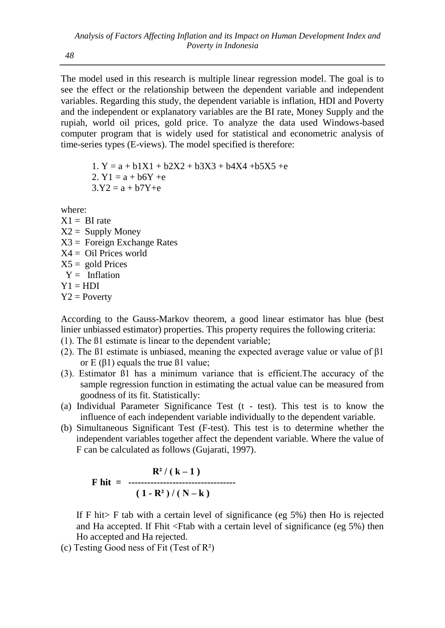The model used in this research is multiple linear regression model. The goal is to see the effect or the relationship between the dependent variable and independent variables. Regarding this study, the dependent variable is inflation, HDI and Poverty and the independent or explanatory variables are the BI rate, Money Supply and the rupiah, world oil prices, gold price. To analyze the data used Windows-based computer program that is widely used for statistical and econometric analysis of time-series types (E-views). The model specified is therefore:

1.  $Y = a + b1X1 + b2X2 + b3X3 + b4X4 + b5X5 + e$ 2.  $Y1 = a + b6Y + e$  $3.Y2 = a + b7Y + e$ 

where:

- $X1 = \text{RI rate}$
- $X2 =$  Supply Money
- $X3 =$  Foreign Exchange Rates
- $X4 =$  Oil Prices world
- $X5 =$  gold Prices
- $Y = Inflation$
- $Y1 = HDI$
- $Y2 = Powerty$

According to the Gauss-Markov theorem, a good linear estimator has blue (best linier unbiassed estimator) properties. This property requires the following criteria:

- (1). The ß1 estimate is linear to the dependent variable;
- (2). The  $\beta$ 1 estimate is unbiased, meaning the expected average value or value of  $\beta$ 1 or  $E(β1)$  equals the true  $β1$  value;
- (3). Estimator ß1 has a minimum variance that is efficient.The accuracy of the sample regression function in estimating the actual value can be measured from goodness of its fit. Statistically:
- (a) Individual Parameter Significance Test (t test). This test is to know the influence of each independent variable individually to the dependent variable.
- (b) Simultaneous Significant Test (F-test). This test is to determine whether the independent variables together affect the dependent variable. Where the value of F can be calculated as follows (Gujarati, 1997).

$$
\mathbf{F} \text{ hit } = \begin{array}{c} R^2 / (k-1) \\ \text{(1 - R}^2) / (N-k) \end{array}
$$

If F hit> F tab with a certain level of significance (eg 5%) then Ho is rejected and Ha accepted. If Fhit <Ftab with a certain level of significance (eg 5%) then Ho accepted and Ha rejected.

(c) Testing Good ness of Fit (Test of  $\mathbb{R}^2$ )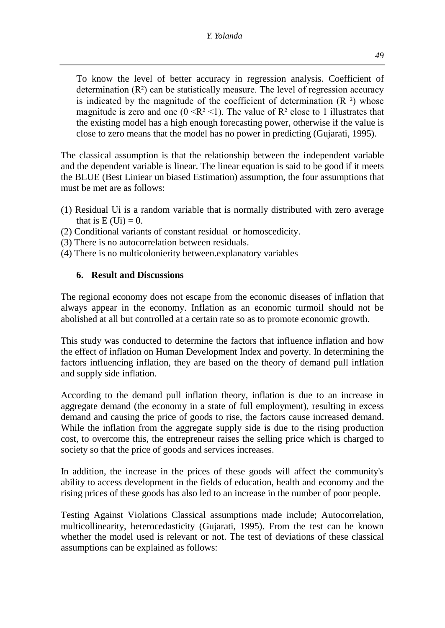To know the level of better accuracy in regression analysis. Coefficient of determination  $(R^2)$  can be statistically measure. The level of regression accuracy is indicated by the magnitude of the coefficient of determination  $(R<sup>2</sup>)$  whose magnitude is zero and one ( $0 \le R^2 \le 1$ ). The value of  $R^2$  close to 1 illustrates that the existing model has a high enough forecasting power, otherwise if the value is close to zero means that the model has no power in predicting (Gujarati, 1995).

The classical assumption is that the relationship between the independent variable and the dependent variable is linear. The linear equation is said to be good if it meets the BLUE (Best Liniear un biased Estimation) assumption, the four assumptions that must be met are as follows:

- (1) Residual Ui is a random variable that is normally distributed with zero average that is  $E (Ui) = 0$ .
- (2) Conditional variants of constant residual or homoscedicity.
- (3) There is no autocorrelation between residuals.
- (4) There is no multicolonierity between.explanatory variables

# **6. Result and Discussions**

The regional economy does not escape from the economic diseases of inflation that always appear in the economy. Inflation as an economic turmoil should not be abolished at all but controlled at a certain rate so as to promote economic growth.

This study was conducted to determine the factors that influence inflation and how the effect of inflation on Human Development Index and poverty. In determining the factors influencing inflation, they are based on the theory of demand pull inflation and supply side inflation.

According to the demand pull inflation theory, inflation is due to an increase in aggregate demand (the economy in a state of full employment), resulting in excess demand and causing the price of goods to rise, the factors cause increased demand. While the inflation from the aggregate supply side is due to the rising production cost, to overcome this, the entrepreneur raises the selling price which is charged to society so that the price of goods and services increases.

In addition, the increase in the prices of these goods will affect the community's ability to access development in the fields of education, health and economy and the rising prices of these goods has also led to an increase in the number of poor people.

Testing Against Violations Classical assumptions made include; Autocorrelation, multicollinearity, heterocedasticity (Gujarati, 1995). From the test can be known whether the model used is relevant or not. The test of deviations of these classical assumptions can be explained as follows: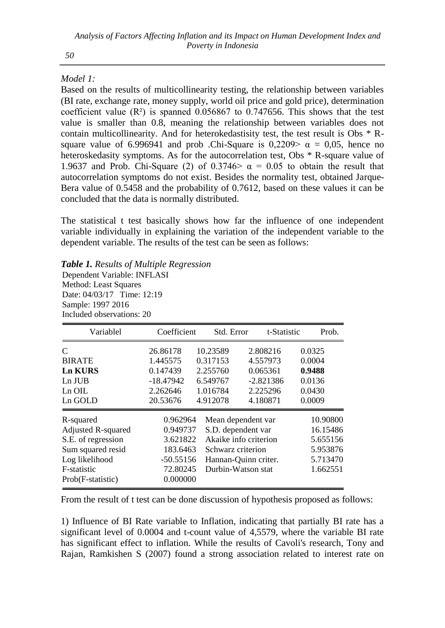## *Model 1:*

Based on the results of multicollinearity testing, the relationship between variables (BI rate, exchange rate, money supply, world oil price and gold price), determination coefficient value  $(R^2)$  is spanned 0.056867 to 0.747656. This shows that the test value is smaller than 0.8, meaning the relationship between variables does not contain multicollinearity. And for heterokedastisity test, the test result is Obs \* Rsquare value of 6.996941 and prob .Chi-Square is 0,2209>  $\alpha = 0.05$ , hence no heteroskedasity symptoms. As for the autocorrelation test, Obs \* R-square value of 1.9637 and Prob. Chi-Square (2) of 0.3746  $\alpha$  = 0.05 to obtain the result that autocorrelation symptoms do not exist. Besides the normality test, obtained Jarque-Bera value of 0.5458 and the probability of 0.7612, based on these values it can be concluded that the data is normally distributed.

The statistical t test basically shows how far the influence of one independent variable individually in explaining the variation of the independent variable to the dependent variable. The results of the test can be seen as follows:

### *Table 1. Results of Multiple Regression*

Dependent Variable: INFLASI Method: Least Squares Date: 04/03/17 Time: 12:19 Sample: 1997 2016 Included observations: 20

| Variablel          | Coefficient | Std. Error        |                       | t-Statistic | Prob.    |
|--------------------|-------------|-------------------|-----------------------|-------------|----------|
| $\mathcal{C}$      | 26.86178    | 10.23589          | 2.808216              |             | 0.0325   |
| <b>BIRATE</b>      | 1.445575    | 0.317153          | 4.557973              |             | 0.0004   |
| <b>Ln KURS</b>     | 0.147439    | 2.255760          | 0.065361              |             | 0.9488   |
| $Ln$ $JUB$         | $-18.47942$ | 6.549767          | $-2.821386$           |             | 0.0136   |
| $Ln$ OIL           | 2.262646    | 1.016784          | 2.225296              |             | 0.0430   |
| Ln GOLD            | 20.53676    | 4.912078          | 4.180871              |             | 0.0009   |
| R-squared          | 0.962964    |                   | Mean dependent var    |             | 10.90800 |
| Adjusted R-squared | 0.949737    |                   | S.D. dependent var    |             | 16.15486 |
| S.E. of regression | 3.621822    |                   | Akaike info criterion |             | 5.655156 |
| Sum squared resid  | 183.6463    | Schwarz criterion |                       |             | 5.953876 |
| Log likelihood     | $-50.55156$ |                   | Hannan-Quinn criter.  |             | 5.713470 |
| F-statistic        | 72.80245    |                   | Durbin-Watson stat    |             | 1.662551 |
| Prob(F-statistic)  | 0.000000    |                   |                       |             |          |

From the result of t test can be done discussion of hypothesis proposed as follows:

1) Influence of BI Rate variable to Inflation, indicating that partially BI rate has a significant level of 0.0004 and t-count value of 4,5579, where the variable BI rate has significant effect to inflation. While the results of Cavoli's research, Tony and Rajan, Ramkishen S (2007) found a strong association related to interest rate on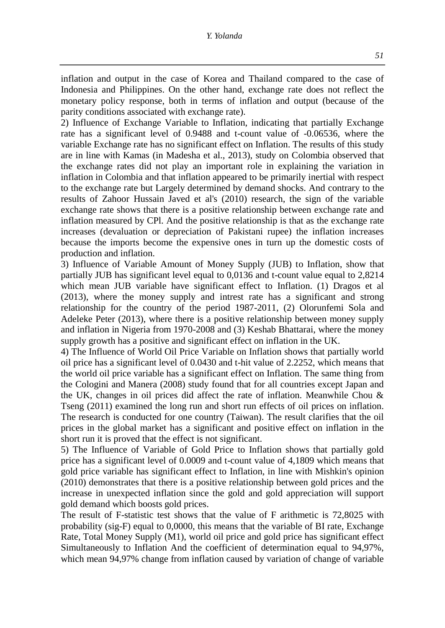inflation and output in the case of Korea and Thailand compared to the case of Indonesia and Philippines. On the other hand, exchange rate does not reflect the monetary policy response, both in terms of inflation and output (because of the parity conditions associated with exchange rate).

2) Influence of Exchange Variable to Inflation, indicating that partially Exchange rate has a significant level of 0.9488 and t-count value of -0.06536, where the variable Exchange rate has no significant effect on Inflation. The results of this study are in line with Kamas (in Madesha et al., 2013), study on Colombia observed that the exchange rates did not play an important role in explaining the variation in inflation in Colombia and that inflation appeared to be primarily inertial with respect to the exchange rate but Largely determined by demand shocks. And contrary to the results of Zahoor Hussain Javed et al's (2010) research, the sign of the variable exchange rate shows that there is a positive relationship between exchange rate and inflation measured by CPl. And the positive relationship is that as the exchange rate increases (devaluation or depreciation of Pakistani rupee) the inflation increases because the imports become the expensive ones in turn up the domestic costs of production and inflation.

3) Influence of Variable Amount of Money Supply (JUB) to Inflation, show that partially JUB has significant level equal to 0,0136 and t-count value equal to 2,8214 which mean JUB variable have significant effect to Inflation. (1) Dragos et al (2013), where the money supply and intrest rate has a significant and strong relationship for the country of the period 1987-2011, (2) Olorunfemi Sola and Adeleke Peter (2013), where there is a positive relationship between money supply and inflation in Nigeria from 1970-2008 and (3) Keshab Bhattarai, where the money supply growth has a positive and significant effect on inflation in the UK.

4) The Influence of World Oil Price Variable on Inflation shows that partially world oil price has a significant level of 0.0430 and t-hit value of 2.2252, which means that the world oil price variable has a significant effect on Inflation. The same thing from the Cologini and Manera (2008) study found that for all countries except Japan and the UK, changes in oil prices did affect the rate of inflation. Meanwhile Chou & Tseng (2011) examined the long run and short run effects of oil prices on inflation. The research is conducted for one country (Taiwan). The result clarifies that the oil prices in the global market has a significant and positive effect on inflation in the short run it is proved that the effect is not significant.

5) The Influence of Variable of Gold Price to Inflation shows that partially gold price has a significant level of 0.0009 and t-count value of 4,1809 which means that gold price variable has significant effect to Inflation, in line with Mishkin's opinion (2010) demonstrates that there is a positive relationship between gold prices and the increase in unexpected inflation since the gold and gold appreciation will support gold demand which boosts gold prices.

The result of F-statistic test shows that the value of F arithmetic is 72,8025 with probability (sig-F) equal to 0,0000, this means that the variable of BI rate, Exchange Rate, Total Money Supply (M1), world oil price and gold price has significant effect Simultaneously to Inflation And the coefficient of determination equal to 94,97%, which mean 94,97% change from inflation caused by variation of change of variable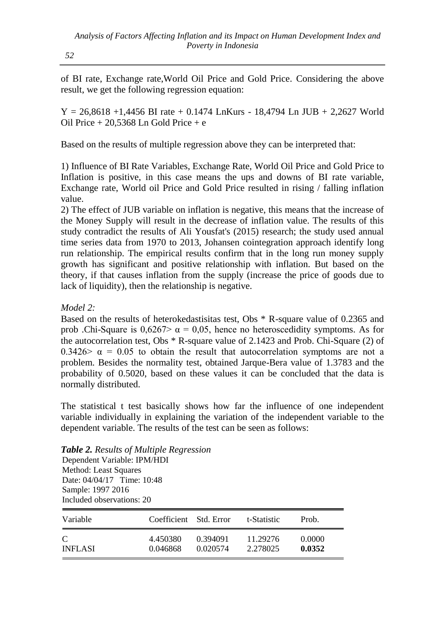of BI rate, Exchange rate,World Oil Price and Gold Price. Considering the above result, we get the following regression equation:

 $Y = 26,8618 + 1,4456$  BI rate + 0.1474 LnKurs - 18,4794 Ln JUB + 2,2627 World Oil Price + 20,5368 Ln Gold Price + e

Based on the results of multiple regression above they can be interpreted that:

1) Influence of BI Rate Variables, Exchange Rate, World Oil Price and Gold Price to Inflation is positive, in this case means the ups and downs of BI rate variable, Exchange rate, World oil Price and Gold Price resulted in rising / falling inflation value.

2) The effect of JUB variable on inflation is negative, this means that the increase of the Money Supply will result in the decrease of inflation value. The results of this study contradict the results of Ali Yousfat's (2015) research; the study used annual time series data from 1970 to 2013, Johansen cointegration approach identify long run relationship. The empirical results confirm that in the long run money supply growth has significant and positive relationship with inflation. But based on the theory, if that causes inflation from the supply (increase the price of goods due to lack of liquidity), then the relationship is negative.

## *Model 2:*

Based on the results of heterokedastisitas test, Obs \* R-square value of 0.2365 and prob .Chi-Square is  $0.6267 > \alpha = 0.05$ , hence no heteroscedidity symptoms. As for the autocorrelation test, Obs \* R-square value of 2.1423 and Prob. Chi-Square (2) of 0.3426>  $\alpha$  = 0.05 to obtain the result that autocorrelation symptoms are not a problem. Besides the normality test, obtained Jarque-Bera value of 1.3783 and the probability of 0.5020, based on these values it can be concluded that the data is normally distributed.

The statistical t test basically shows how far the influence of one independent variable individually in explaining the variation of the independent variable to the dependent variable. The results of the test can be seen as follows:

### *Table 2. Results of Multiple Regression*

Dependent Variable: IPM/HDI Method: Least Squares Date: 04/04/17 Time: 10:48 Sample: 1997 2016 Included observations: 20

| Variable       | Coefficient Std. Error |          | t-Statistic | Prob.  |
|----------------|------------------------|----------|-------------|--------|
| C              | 4.450380               | 0.394091 | 11.29276    | 0.0000 |
| <b>INFLASI</b> | 0.046868               | 0.020574 | 2.278025    | 0.0352 |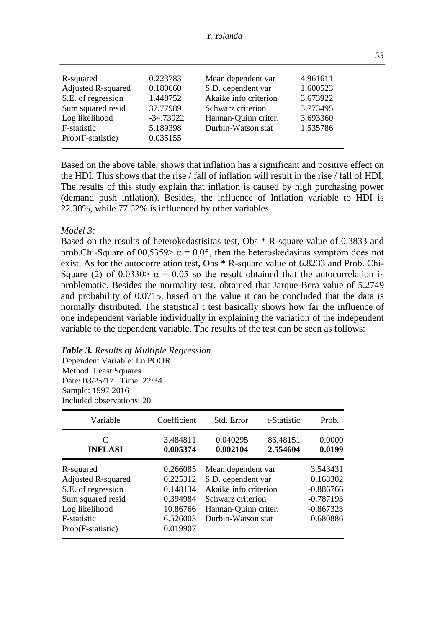#### *Y. Yolanda*

| R-squared          | 0.223783    | Mean dependent var    | 4.961611 |
|--------------------|-------------|-----------------------|----------|
| Adjusted R-squared | 0.180660    | S.D. dependent var    | 1.600523 |
| S.E. of regression | 1.448752    | Akaike info criterion | 3.673922 |
| Sum squared resid  | 37.77989    | Schwarz criterion     | 3.773495 |
| Log likelihood     | $-34.73922$ | Hannan-Ouinn criter.  | 3.693360 |
| F-statistic        | 5.189398    | Durbin-Watson stat    | 1.535786 |
| Prob(F-statistic)  | 0.035155    |                       |          |

Based on the above table, shows that inflation has a significant and positive effect on the HDI. This shows that the rise / fall of inflation will result in the rise / fall of HDI. The results of this study explain that inflation is caused by high purchasing power (demand push inflation). Besides, the influence of Inflation variable to HDI is 22.38%, while 77.62% is influenced by other variables.

#### *Model 3:*

Based on the results of heterokedastisitas test, Obs \* R-square value of 0.3833 and prob.Chi-Square of 00,5359>  $\alpha = 0.05$ , then the heteroskedasitas symptom does not exist. As for the autocorrelation test, Obs \* R-square value of 6.8233 and Prob. Chi-Square (2) of 0.0330  $\alpha$  = 0.05 so the result obtained that the autocorrelation is problematic. Besides the normality test, obtained that Jarque-Bera value of 5.2749 and probability of 0.0715, based on the value it can be concluded that the data is normally distributed. The statistical t test basically shows how far the influence of one independent variable individually in explaining the variation of the independent variable to the dependent variable. The results of the test can be seen as follows:

#### *Table 3. Results of Multiple Regression*

Dependent Variable: Ln POOR Method: Least Squares Date: 03/25/17 Time: 22:34 Sample: 1997 2016 Included observations: 20

| Variable                                      | Coefficient          | Std. Error            | t-Statistic          | Prob.            |
|-----------------------------------------------|----------------------|-----------------------|----------------------|------------------|
| $\mathcal{C}_{\mathcal{C}}$<br><b>INFLASI</b> | 3.484811<br>0.005374 | 0.040295<br>0.002104  | 86.48151<br>2.554604 | 0.0000<br>0.0199 |
| R-squared                                     | 0.266085             | Mean dependent var    |                      | 3.543431         |
| Adjusted R-squared                            | 0.225312             | S.D. dependent var    |                      | 0.168302         |
| S.E. of regression                            | 0.148134             | Akaike info criterion |                      | $-0.886766$      |
| Sum squared resid                             | 0.394984             | Schwarz criterion     |                      | $-0.787193$      |
| Log likelihood                                | 10.86766             | Hannan-Ouinn criter.  |                      | $-0.867328$      |
| F-statistic                                   | 6.526003             | Durbin-Watson stat    |                      | 0.680886         |
| Prob(F-statistic)                             | 0.019907             |                       |                      |                  |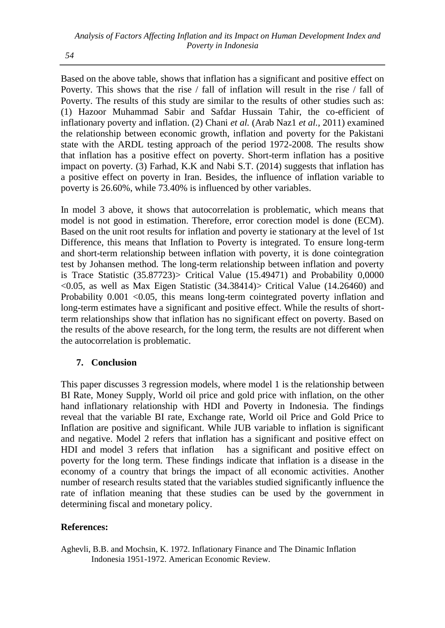Based on the above table, shows that inflation has a significant and positive effect on Poverty. This shows that the rise / fall of inflation will result in the rise / fall of Poverty. The results of this study are similar to the results of other studies such as: (1) Hazoor Muhammad Sabir and Safdar Hussain Tahir, the co-efficient of inflationary poverty and inflation. (2) Chani *et al.* (Arab Naz1 *et al.,* 2011) examined the relationship between economic growth, inflation and poverty for the Pakistani state with the ARDL testing approach of the period 1972-2008. The results show that inflation has a positive effect on poverty. Short-term inflation has a positive impact on poverty. (3) Farhad, K.K and Nabi S.T. (2014) suggests that inflation has a positive effect on poverty in Iran. Besides, the influence of inflation variable to poverty is 26.60%, while 73.40% is influenced by other variables.

In model 3 above, it shows that autocorrelation is problematic, which means that model is not good in estimation. Therefore, error corection model is done (ECM). Based on the unit root results for inflation and poverty ie stationary at the level of 1st Difference, this means that Inflation to Poverty is integrated. To ensure long-term and short-term relationship between inflation with poverty, it is done cointegration test by Johansen method. The long-term relationship between inflation and poverty is Trace Statistic  $(35.87723)$  Critical Value  $(15.49471)$  and Probability 0,0000 <0.05, as well as Max Eigen Statistic (34.38414)> Critical Value (14.26460) and Probability 0.001 <0.05, this means long-term cointegrated poverty inflation and long-term estimates have a significant and positive effect. While the results of shortterm relationships show that inflation has no significant effect on poverty. Based on the results of the above research, for the long term, the results are not different when the autocorrelation is problematic.

# **7. Conclusion**

This paper discusses 3 regression models, where model 1 is the relationship between BI Rate, Money Supply, World oil price and gold price with inflation, on the other hand inflationary relationship with HDI and Poverty in Indonesia. The findings reveal that the variable BI rate, Exchange rate, World oil Price and Gold Price to Inflation are positive and significant. While JUB variable to inflation is significant and negative. Model 2 refers that inflation has a significant and positive effect on HDI and model 3 refers that inflation has a significant and positive effect on poverty for the long term. These findings indicate that inflation is a disease in the economy of a country that brings the impact of all economic activities. Another number of research results stated that the variables studied significantly influence the rate of inflation meaning that these studies can be used by the government in determining fiscal and monetary policy.

# **References:**

Aghevli, B.B. and Mochsin, K. 1972. Inflationary Finance and The Dinamic Inflation Indonesia 1951-1972. American Economic Review.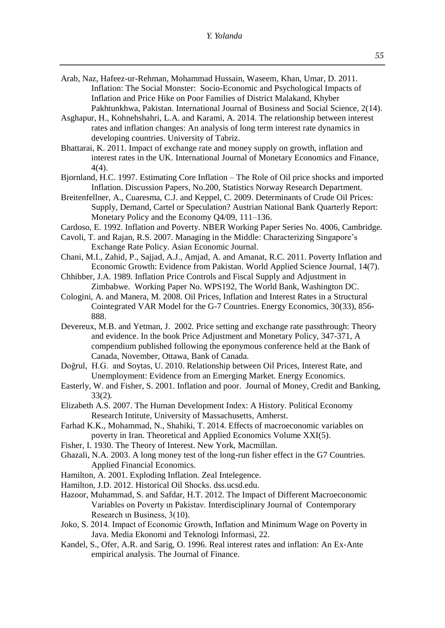- Arab, Naz, Hafeez-ur-Rehman, Mohammad Hussain, Waseem, Khan, Umar, D. 2011. Inflation: The Social Monster: Socio-Economic and Psychological Impacts of Inflation and Price Hike on Poor Families of District Malakand, Khyber Pakhtunkhwa, Pakistan. International Journal of Business and Social Science, 2(14).
- Asghapur, H., Kohnehshahri, L.A. and Karami, A. 2014. The relationship between interest rates and inflation changes: An analysis of long term interest rate dynamics in developing countries. University of Tabriz.
- Bhattarai, K. 2011. Impact of exchange rate and money supply on growth, inflation and interest rates in the UK. International Journal of Monetary Economics and Finance, 4(4).
- Bjornland, H.C. 1997. Estimating Core Inflation The Role of Oil price shocks and imported Inflation. Discussion Papers, No.200, Statistics Norway Research Department.
- Breitenfellner, A., Cuaresma, C.J. and Keppel, C. 2009. Determinants of Crude Oil Prices: Supply, Demand, Cartel or Speculation? Austrian National Bank Quarterly Report: Monetary Policy and the Economy Q4/09, 111–136.
- Cardoso, E. 1992. Inflation and Poverty. NBER Working Paper Series No. 4006, Cambridge.
- Cavoli, T. and Rajan, R.S. 2007. Managing in the Middle: Characterizing Singapore's Exchange Rate Policy. Asian Economic Journal.
- Chani, M.I., Zahid, P., Sajjad, A.J., Amjad, A. and Amanat, R.C. 2011. Poverty Inflation and Economic Growth: Evidence from Pakistan. World Applied Science Journal, 14(7).
- Chhibber, J.A. 1989. Inflation Price Controls and Fiscal Supply and Adjustment in Zimbabwe. Working Paper No. WPS192, The World Bank, Washington DC.
- Cologini, A. and Manera, M. 2008. Oil Prices, Inflation and Interest Rates in a Structural Cointegrated VAR Model for the G-7 Countries. Energy Economics, 30(33), 856- 888.
- Devereux, M.B. and Yetman, J. 2002. Price setting and exchange rate passthrough: Theory and evidence. In the book Price Adjustment and Monetary Policy, 347-371, A compendium published following the eponymous conference held at the Bank of Canada, November, Ottawa, Bank of Canada.
- Doğrul, H.G. and Soytas, U. 2010. Relationship between Oil Prices, Interest Rate, and Unemployment: Evidence from an Emerging Market. Energy Economics.
- Easterly, W. and Fisher, S. 2001. Inflation and poor. Journal of Money, Credit and Banking, 33(2).
- Elizabeth A.S. 2007. The Human Development Index: A History. Political Economy Research Intitute, University of Massachusetts, Amherst.
- Farhad K.Κ., Mohammad, N., Shahiki, T. 2014. Effects of macroeconomic variables on poverty in Iran. Theoretical and Applied Economics Volume XXI(5).
- Fisher, I. 1930. The Theory of Interest. New York, Macmillan.
- Ghazali, N.A. 2003. A long money test of the long-run fisher effect in the G7 Countries. Applied Financial Economics.
- Hamilton, A. 2001. Exploding Inflation. Zeal Intelegence.
- Hamilton, J.D. 2012. Historical Oil Shocks. dss.ucsd.edu.
- Hazoor, Muhammad, S. and Safdar, H.T. 2012. The Impact οf Different Macroeconomic Variables οn Poverty ιn Pakistaν. Interdisciplinary Journal of Contemporary Research in Business, 3(10).
- Joko, S. 2014. Impact οf Economic Growth, Inflation and Minimum Wage on Poverty in Java. Media Ekonomi and Teknologi Informasi, 22.
- Kandel, S., Ofer, A.R. and Sarig, O. 1996. Real interest rates and inflation: An Ex-Ante empirical analysis. The Journal of Finance.